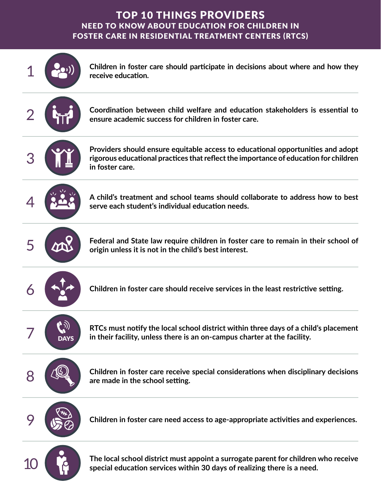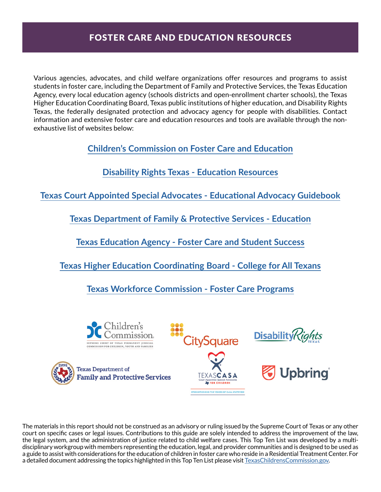Various agencies, advocates, and child welfare organizations offer resources and programs to assist students in foster care, including the Department of Family and Protective Services, the Texas Education Agency, every local education agency (schools districts and open-enrollment charter schools), the Texas Higher Education Coordinating Board, Texas public institutions of higher education, and Disability Rights Texas, the federally designated protection and advocacy agency for people with disabilities. Contact information and extensive foster care and education resources and tools are available through the nonexhaustive list of websites below:

**[Children's Commission on Foster Care and Education](http://texaschildrenscommission.gov/our-work/systems-improvement/foster-care-education/)**

**[Disability Rights Texas - Education Resources](https://www.disabilityrightstx.org/en/category/education/)**

**[Texas Court Appointed Special Advocates - Educational Advocacy Guidebook](https://learn.texascasa.org/resource/educational-advocacy-resources)**

**[Texas Department of Family & Protective Services - Education](https://www.dfps.state.tx.us/Child_Protection/State_Care/education.asp)**

**[Texas Education Agency - Foster Care and Student Success](https://tea.texas.gov/academics/special-student-populations/foster-care-and-student-success/foster-care-student-success)**

**[Texas Higher Education Coordinating Board - College for](http://www.collegeforalltexans.com/apps/financialaid/tofa2.cfm?ID=429) All Texans**

**[Texas Workforce Commission - Foster Care Programs](https://twc.texas.gov/partners/foster-care-programs)**



The materials in this report should not be construed as an advisory or ruling issued by the Supreme Court of Texas or any other court on specific cases or legal issues. Contributions to this guide are solely intended to address the improvement of the law, the legal system, and the administration of justice related to child welfare cases. This Top Ten List was developed by a multidisciplinary workgroup with members representing the education, legal, and provider communities and is designed to be used as a guide to assist with considerations for the education of children in foster care who reside in a Residential Treatment Center. For a detailed document addressing the topics highlighted in this Top Ten List please visit [TexasChildrensCommission.gov](http://TexasChildrensCommission.gov).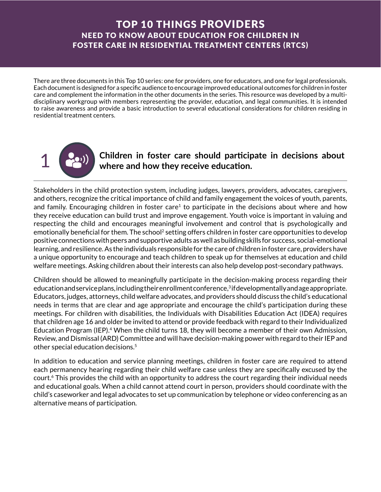There are three documents in this Top 10 series: one for providers, one for educators, and one for legal professionals. Each document is designed for a specific audience to encourage improved educational outcomes for children in foster care and complement the information in the other documents in the series. This resource was developed by a multidisciplinary workgroup with members representing the provider, education, and legal communities. It is intended to raise awareness and provide a basic introduction to several educational considerations for children residing in residential treatment centers.



1 **Children in foster care should participate in decisions about where and how they receive education.**

Stakeholders in the child protection system, including judges, lawyers, providers, advocates, caregivers, and others, recognize the critical importance of child and family engagement the voices of youth, parents, and family. Encouraging children in foster care<sup>1</sup> to participate in the decisions about where and how they receive education can build trust and improve engagement. Youth voice is important in valuing and respecting the child and encourages meaningful involvement and control that is psychologically and emotionally beneficial for them. The school<sup>2</sup> setting offers children in foster care opportunities to develop positive connections with peers and supportive adults as well as building skills for success, social-emotional learning, and resilience. As the individuals responsible for the care of children in foster care, providers have a unique opportunity to encourage and teach children to speak up for themselves at education and child welfare meetings. Asking children about their interests can also help develop post-secondary pathways.

Children should be allowed to meaningfully participate in the decision-making process regarding their education and service plans, including their enrollment conference, $3$  if developmentally and age appropriate. Educators, judges, attorneys, child welfare advocates, and providers should discuss the child's educational needs in terms that are clear and age appropriate and encourage the child's participation during these meetings. For children with disabilities, the Individuals with Disabilities Education Act (IDEA) requires that children age 16 and older be invited to attend or provide feedback with regard to their Individualized Education Program (IEP).4 When the child turns 18, they will become a member of their own Admission, Review, and Dismissal (ARD) Committee and will have decision-making power with regard to their IEP and other special education decisions.5

In addition to education and service planning meetings, children in foster care are required to attend each permanency hearing regarding their child welfare case unless they are specifically excused by the court.6 This provides the child with an opportunity to address the court regarding their individual needs and educational goals. When a child cannot attend court in person, providers should coordinate with the child's caseworker and legal advocates to set up communication by telephone or video conferencing as an alternative means of participation.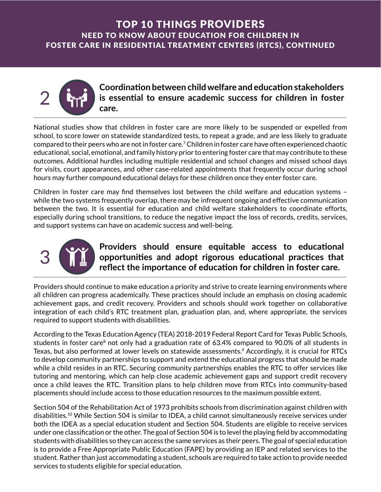

**Coordination between child welfare and education stakeholders is essential to ensure academic success for children in foster care.**

National studies show that children in foster care are more likely to be suspended or expelled from school, to score lower on statewide standardized tests, to repeat a grade, and are less likely to graduate compared to their peers who are not in foster care.7 Children in foster care have often experienced chaotic educational, social, emotional, and family history prior to entering foster care that may contribute to these outcomes. Additional hurdles including multiple residential and school changes and missed school days for visits, court appearances, and other case-related appointments that frequently occur during school hours may further compound educational delays for these children once they enter foster care.

Children in foster care may find themselves lost between the child welfare and education systems – while the two systems frequently overlap, there may be infrequent ongoing and effective communication between the two. It is essential for education and child welfare stakeholders to coordinate efforts, especially during school transitions, to reduce the negative impact the loss of records, credits, services, and support systems can have on academic success and well-being.



### **3** Providers should ensure equitable access to educational<br> **3 Providers should ensure equitable access to educational**<br> **1 Proportinities and adopt rigorous educational practices that opportunities and adopt rigorous educational practices that reflect the importance of education for children in foster care.**

Providers should continue to make education a priority and strive to create learning environments where all children can progress academically. These practices should include an emphasis on closing academic achievement gaps, and credit recovery. Providers and schools should work together on collaborative integration of each child's RTC treatment plan, graduation plan, and, where appropriate, the services required to support students with disabilities.

According to the Texas Education Agency (TEA) 2018-2019 Federal Report Card for Texas Public Schools, students in foster care<sup>8</sup> not only had a graduation rate of 63.4% compared to 90.0% of all students in Texas, but also performed at lower levels on statewide assessments.9 Accordingly, it is crucial for RTCs to develop community partnerships to support and extend the educational progress that should be made while a child resides in an RTC. Securing community partnerships enables the RTC to offer services like tutoring and mentoring, which can help close academic achievement gaps and support credit recovery once a child leaves the RTC. Transition plans to help children move from RTCs into community-based placements should include access to those education resources to the maximum possible extent.

Section 504 of the Rehabilitation Act of 1973 prohibits schools from discrimination against children with disabilities.10 While Section 504 is similar to IDEA, a child cannot simultaneously receive services under both the IDEA as a special education student and Section 504. Students are eligible to receive services under one classification or the other. The goal of Section 504 is to level the playing field by accommodating students with disabilities so they can access the same services as their peers. The goal of special education is to provide a Free Appropriate Public Education (FAPE) by providing an IEP and related services to the student. Rather than just accommodating a student, schools are required to take action to provide needed services to students eligible for special education.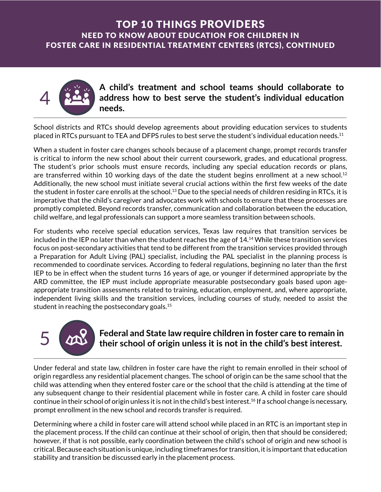

**A child's treatment and school teams should collaborate to address how to best serve the student's individual education needs.**

School districts and RTCs should develop agreements about providing education services to students placed in RTCs pursuant to TEA and DFPS rules to best serve the student's individual education needs.11

When a student in foster care changes schools because of a placement change, prompt records transfer is critical to inform the new school about their current coursework, grades, and educational progress. The student's prior schools must ensure records, including any special education records or plans, are transferred within 10 working days of the date the student begins enrollment at a new school.<sup>12</sup> Additionally, the new school must initiate several crucial actions within the first few weeks of the date the student in foster care enrolls at the school.13 Due to the special needs of children residing in RTCs, it is imperative that the child's caregiver and advocates work with schools to ensure that these processes are promptly completed. Beyond records transfer, communication and collaboration between the education, child welfare, and legal professionals can support a more seamless transition between schools.

For students who receive special education services, Texas law requires that transition services be included in the IEP no later than when the student reaches the age of 14.14 While these transition services focus on post-secondary activities that tend to be different from the transition services provided through a Preparation for Adult Living (PAL) specialist, including the PAL specialist in the planning process is recommended to coordinate services. According to federal regulations, beginning no later than the first IEP to be in effect when the student turns 16 years of age, or younger if determined appropriate by the ARD committee, the IEP must include appropriate measurable postsecondary goals based upon ageappropriate transition assessments related to training, education, employment, and, where appropriate, independent living skills and the transition services, including courses of study, needed to assist the student in reaching the postsecondary goals.15

# Federal and State law require children in foster care to remain in<br>their school of origin unless it is not in the child's best interest.<br>Under federal and state law, children in foster care have the right to remain enrolle 5 **Federal and State law require children in foster care to remain in their school of origin unless it is not in the child's best interest.**

origin regardless any residential placement changes. The school of origin can be the same school that the child was attending when they entered foster care or the school that the child is attending at the time of any subsequent change to their residential placement while in foster care. A child in foster care should continue in their school of origin unless it is not in the child's best interest.<sup>16</sup> If a school change is necessary, prompt enrollment in the new school and records transfer is required.

Determining where a child in foster care will attend school while placed in an RTC is an important step in the placement process. If the child can continue at their school of origin, then that should be considered; however, if that is not possible, early coordination between the child's school of origin and new school is critical. Because each situation is unique, including timeframes for transition, it is important that education stability and transition be discussed early in the placement process.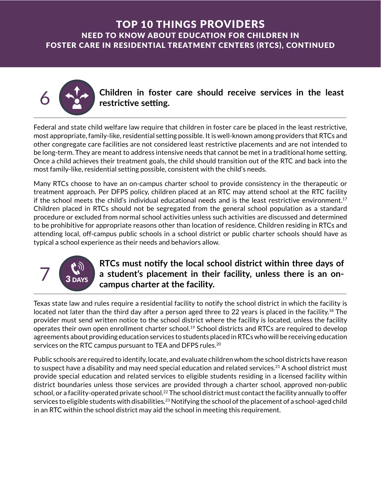

6 **Children in foster care should receive services in the least restrictive setting.**

Federal and state child welfare law require that children in foster care be placed in the least restrictive, most appropriate, family-like, residential setting possible. It is well-known among providers that RTCs and other congregate care facilities are not considered least restrictive placements and are not intended to be long-term. They are meant to address intensive needs that cannot be met in a traditional home setting. Once a child achieves their treatment goals, the child should transition out of the RTC and back into the most family-like, residential setting possible, consistent with the child's needs.

Many RTCs choose to have an on-campus charter school to provide consistency in the therapeutic or treatment approach. Per DFPS policy, children placed at an RTC may attend school at the RTC facility if the school meets the child's individual educational needs and is the least restrictive environment.17 Children placed in RTCs should not be segregated from the general school population as a standard procedure or excluded from normal school activities unless such activities are discussed and determined to be prohibitive for appropriate reasons other than location of residence. Children residing in RTCs and attending local, off-campus public schools in a school district or public charter schools should have as typical a school experience as their needs and behaviors allow.

# $7\frac{1}{3 \text{ days}}$

### **RTCs must notify the local school district within three days of a student's placement in their facility, unless there is an oncampus charter at the facility.**

Texas state law and rules require a residential facility to notify the school district in which the facility is located not later than the third day after a person aged three to 22 years is placed in the facility.18 The provider must send written notice to the school district where the facility is located, unless the facility operates their own open enrollment charter school.19 School districts and RTCs are required to develop agreements about providing education services to students placed in RTCs who will be receiving education services on the RTC campus pursuant to TEA and DFPS rules.<sup>20</sup>

Public schools are required to identify, locate, and evaluate children whom the school districts have reason to suspect have a disability and may need special education and related services.<sup>21</sup> A school district must provide special education and related services to eligible students residing in a licensed facility within district boundaries unless those services are provided through a charter school, approved non-public school, or a facility-operated private school.<sup>22</sup> The school district must contact the facility annually to offer services to eligible students with disabilities.<sup>23</sup> Notifying the school of the placement of a school-aged child in an RTC within the school district may aid the school in meeting this requirement.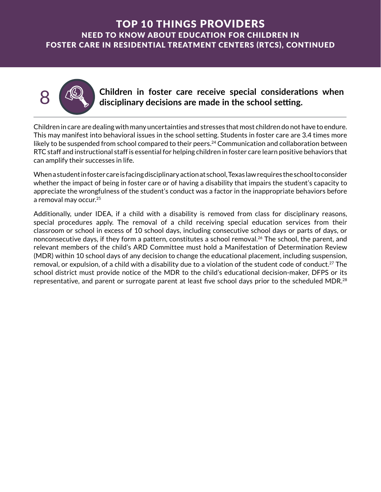

• Children in foster care receive special considerations when<br>disciplinary decisions are made in the school setting.<br>Children in care are dealing with many uncertainties and stresses that most children do not have to endur **8 <b>CO** children in foster care receive special considerations when<br>disciplinary decisions are made in the school setting **disciplinary decisions are made in the school setting.**

This may manifest into behavioral issues in the school setting. Students in foster care are 3.4 times more likely to be suspended from school compared to their peers.<sup>24</sup> Communication and collaboration between RTC staff and instructional staff is essential for helping children in foster care learn positive behaviors that can amplify their successes in life.

When a student in foster care is facing disciplinary action at school, Texas law requires the school to consider whether the impact of being in foster care or of having a disability that impairs the student's capacity to appreciate the wrongfulness of the student's conduct was a factor in the inappropriate behaviors before a removal may occur.25

Additionally, under IDEA, if a child with a disability is removed from class for disciplinary reasons, special procedures apply. The removal of a child receiving special education services from their classroom or school in excess of 10 school days, including consecutive school days or parts of days, or nonconsecutive days, if they form a pattern, constitutes a school removal.<sup>26</sup> The school, the parent, and relevant members of the child's ARD Committee must hold a Manifestation of Determination Review (MDR) within 10 school days of any decision to change the educational placement, including suspension, removal, or expulsion, of a child with a disability due to a violation of the student code of conduct.<sup>27</sup> The school district must provide notice of the MDR to the child's educational decision-maker, DFPS or its representative, and parent or surrogate parent at least five school days prior to the scheduled MDR.<sup>28</sup>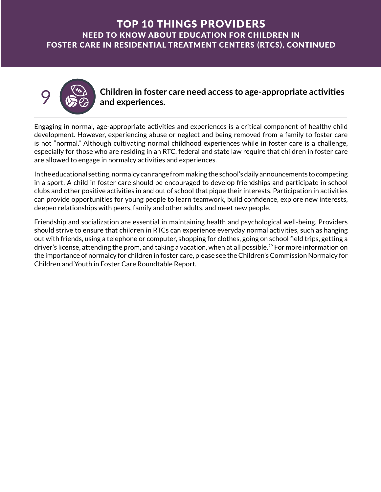

9 **Children in foster care need access to age-appropriate activities and experiences.**

Engaging in normal, age-appropriate activities and experiences is a critical component of healthy child development. However, experiencing abuse or neglect and being removed from a family to foster care is not "normal." Although cultivating normal childhood experiences while in foster care is a challenge, especially for those who are residing in an RTC, federal and state law require that children in foster care are allowed to engage in normalcy activities and experiences.

In the educational setting, normalcy can range from making the school's daily announcements to competing in a sport. A child in foster care should be encouraged to develop friendships and participate in school clubs and other positive activities in and out of school that pique their interests. Participation in activities can provide opportunities for young people to learn teamwork, build confidence, explore new interests, deepen relationships with peers, family and other adults, and meet new people.

Friendship and socialization are essential in maintaining health and psychological well-being. Providers should strive to ensure that children in RTCs can experience everyday normal activities, such as hanging out with friends, using a telephone or computer, shopping for clothes, going on school field trips, getting a driver's license, attending the prom, and taking a vacation, when at all possible.<sup>29</sup> For more information on the importance of normalcy for children in foster care, please see the Children's Commission Normalcy for Children and Youth in Foster Care Roundtable Report.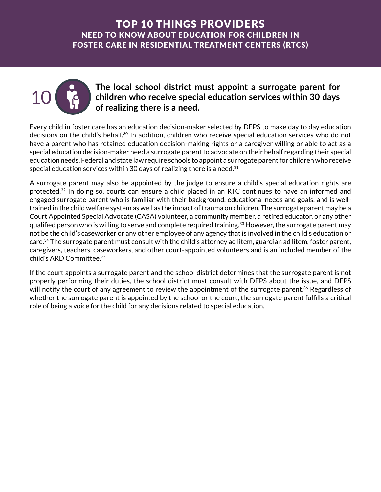

The local school district must appoint a surrogate parent for<br>children who receive special education services within 30 days<br>of realizing there is a need **children who receive special education services within 30 days of realizing there is a need.**

Every child in foster care has an education decision-maker selected by DFPS to make day to day education decisions on the child's behalf.30 In addition, children who receive special education services who do not have a parent who has retained education decision-making rights or a caregiver willing or able to act as a special education decision-maker need a surrogate parent to advocate on their behalf regarding their special education needs. Federal and state law require schools to appoint a surrogate parent for children who receive special education services within 30 days of realizing there is a need. $31$ 

A surrogate parent may also be appointed by the judge to ensure a child's special education rights are protected.32 In doing so, courts can ensure a child placed in an RTC continues to have an informed and engaged surrogate parent who is familiar with their background, educational needs and goals, and is welltrained in the child welfare system as well as the impact of trauma on children. The surrogate parent may be a Court Appointed Special Advocate (CASA) volunteer, a community member, a retired educator, or any other qualified person who is willing to serve and complete required training.<sup>33</sup> However, the surrogate parent may not be the child's caseworker or any other employee of any agency that is involved in the child's education or care.34 The surrogate parent must consult with the child's attorney ad litem, guardian ad litem, foster parent, caregivers, teachers, caseworkers, and other court-appointed volunteers and is an included member of the child's ARD Committee.35

If the court appoints a surrogate parent and the school district determines that the surrogate parent is not properly performing their duties, the school district must consult with DFPS about the issue, and DFPS will notify the court of any agreement to review the appointment of the surrogate parent.<sup>36</sup> Regardless of whether the surrogate parent is appointed by the school or the court, the surrogate parent fulfills a critical role of being a voice for the child for any decisions related to special education.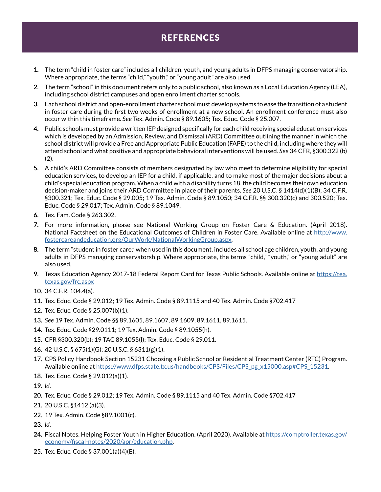# **REFERENCES**

- 1. 1. The term "child in foster care" includes all children, youth, and young adults in DFPS managing conservatorship. Where appropriate, the terms "child," "youth," or "young adult" are also used.
- 2. 2. The term "school" in this document refers only to a public school, also known as a Local Education Agency (LEA), including school district campuses and open enrollment charter schools.
- 3. 3. Each school district and open-enrollment charter school must develop systems to ease the transition of a student in foster care during the first two weeks of enrollment at a new school. An enrollment conference must also occur within this timeframe. *See* Tex. Admin. Code § 89.1605; Tex. Educ. Code § 25.007.
- 4. 4. Public schools must provide a written IEP designed specifically for each child receiving special education services which is developed by an Admission, Review, and Dismissal (ARD) Committee outlining the manner in which the school district will provide a Free and Appropriate Public Education (FAPE) to the child, including where they will attend school and what positive and appropriate behavioral interventions will be used. *See* 34 CFR, §300.322 (b) (2).
- 5. 5. A child's ARD Committee consists of members designated by law who meet to determine eligibility for special education services, to develop an IEP for a child, if applicable, and to make most of the major decisions about a child's special education program. When a child with a disability turns 18, the child becomes their own education decision-maker and joins their ARD Committee in place of their parents. *See* 20 U.S.C. § 1414(d)(1)(B); 34 C.F.R. §300.321; Tex. Educ. Code § 29.005; 19 Tex. Admin. Code § 89.1050; 34 C.F.R. §§ 300.320(c) and 300.520; Tex. Educ. Code § 29.017; Tex. Admin. Code § 89.1049.
- 6. 6. Tex. Fam. Code § 263.302.
- 7. 7. For more information, please see National Working Group on Foster Care & Education. (April 2018). National Factsheet on the Educational Outcomes of Children in Foster Care. Available online at [http://www.](http://www.fostercareandeducation.org/OurWork/NationalWorkingGroup.aspx) [fostercareandeducation.org/OurWork/NationalWorkingGroup.aspx](http://www.fostercareandeducation.org/OurWork/NationalWorkingGroup.aspx).
- 8. 8. The term "student in foster care," when used in this document, includes all school age children, youth, and young adults in DFPS managing conservatorship. Where appropriate, the terms "child," "youth," or "young adult" are also used.
- 9. 9. Texas Education Agency 2017-18 Federal Report Card for Texas Public Schools. Available online at [https://tea.](https://tea.texas.gov/frc.aspx) [texas.gov/frc.aspx](https://tea.texas.gov/frc.aspx)
- 10. 10. 34 C.F.R. 104.4(a).
- 11. 11. Tex. Educ. Code § 29.012; 19 Tex. Admin. Code § 89.1115 and 40 Tex. Admin. Code §702.417
- 12. 12. Tex. Educ. Code § 25.007(b)(1).
- 13. 13. *See* 19 Tex. Admin. Code §§ 89.1605, 89.1607, 89.1609, 89.1611, 89.1615.
- 14. 14. Tex. Educ. Code §29.0111; 19 Tex. Admin. Code § 89.1055(h).
- 15. 15. CFR §300.320(b); 19 TAC 89.1055(l); Tex. Educ. Code § 29.011.
- 16. 16. 42 U.S.C. § 675(1)(G); 20 U.S.C. § 6311(g)(1).
- 17. 17. CPS Policy Handbook Section 15231 Choosing a Public School or Residential Treatment Center (RTC) Program. Available online at [https://www.dfps.state.tx.us/handbooks/CPS/Files/CPS\\_pg\\_x15000.asp#CPS\\_15231](https://www.dfps.state.tx.us/handbooks/CPS/Files/CPS_pg_x15000.asp#CPS_15231).
- 18. 18. Tex. Educ. Code § 29.012(a)(1).
- 19. 19. *Id.*
- 20. 20. Tex. Educ. Code § 29.012; 19 Tex. Admin. Code § 89.1115 and 40 Tex. Admin. Code §702.417
- 21. 21. 20 U.S.C. §1412 (a)(3).
- 22. 22. 19 Tex. Admin. Code §89.1001(c).
- 23. 23. *Id.*
- 24. 24. Fiscal Notes. Helping Foster Youth in Higher Education. (April 2020). Available at [https://comptroller.texas.gov/](https://comptroller.texas.gov/economy/fiscal-notes/2020/apr/education.php) [economy/fiscal-notes/2020/apr/education.php](https://comptroller.texas.gov/economy/fiscal-notes/2020/apr/education.php).
- 25. 25. Tex. Educ. Code § 37.001(a)(4)(E).